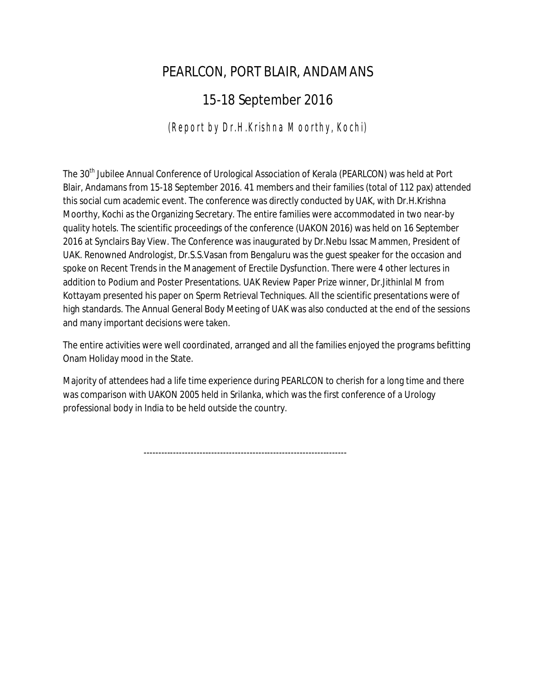## PEARLCON, PORT BLAIR, ANDAMANS

## 15-18 September 2016

## *(Report by Dr.H.Krishna Moorthy, Kochi)*

The 30<sup>th</sup> Jubilee Annual Conference of Urological Association of Kerala (PEARLCON) was held at Port Blair, Andamans from 15-18 September 2016. 41 members and their families (total of 112 pax) attended this social cum academic event. The conference was directly conducted by UAK, with Dr.H.Krishna Moorthy, Kochi as the Organizing Secretary. The entire families were accommodated in two near-by quality hotels. The scientific proceedings of the conference (UAKON 2016) was held on 16 September 2016 at Synclairs Bay View. The Conference was inaugurated by Dr.Nebu Issac Mammen, President of UAK. Renowned Andrologist, Dr.S.S.Vasan from Bengaluru was the guest speaker for the occasion and spoke on Recent Trends in the Management of Erectile Dysfunction. There were 4 other lectures in addition to Podium and Poster Presentations. UAK Review Paper Prize winner, Dr.Jithinlal M from Kottayam presented his paper on Sperm Retrieval Techniques. All the scientific presentations were of high standards. The Annual General Body Meeting of UAK was also conducted at the end of the sessions and many important decisions were taken.

The entire activities were well coordinated, arranged and all the families enjoyed the programs befitting Onam Holiday mood in the State.

Majority of attendees had a life time experience during PEARLCON to cherish for a long time and there was comparison with UAKON 2005 held in Srilanka, which was the first conference of a Urology professional body in India to be held outside the country.

---------------------------------------------------------------------